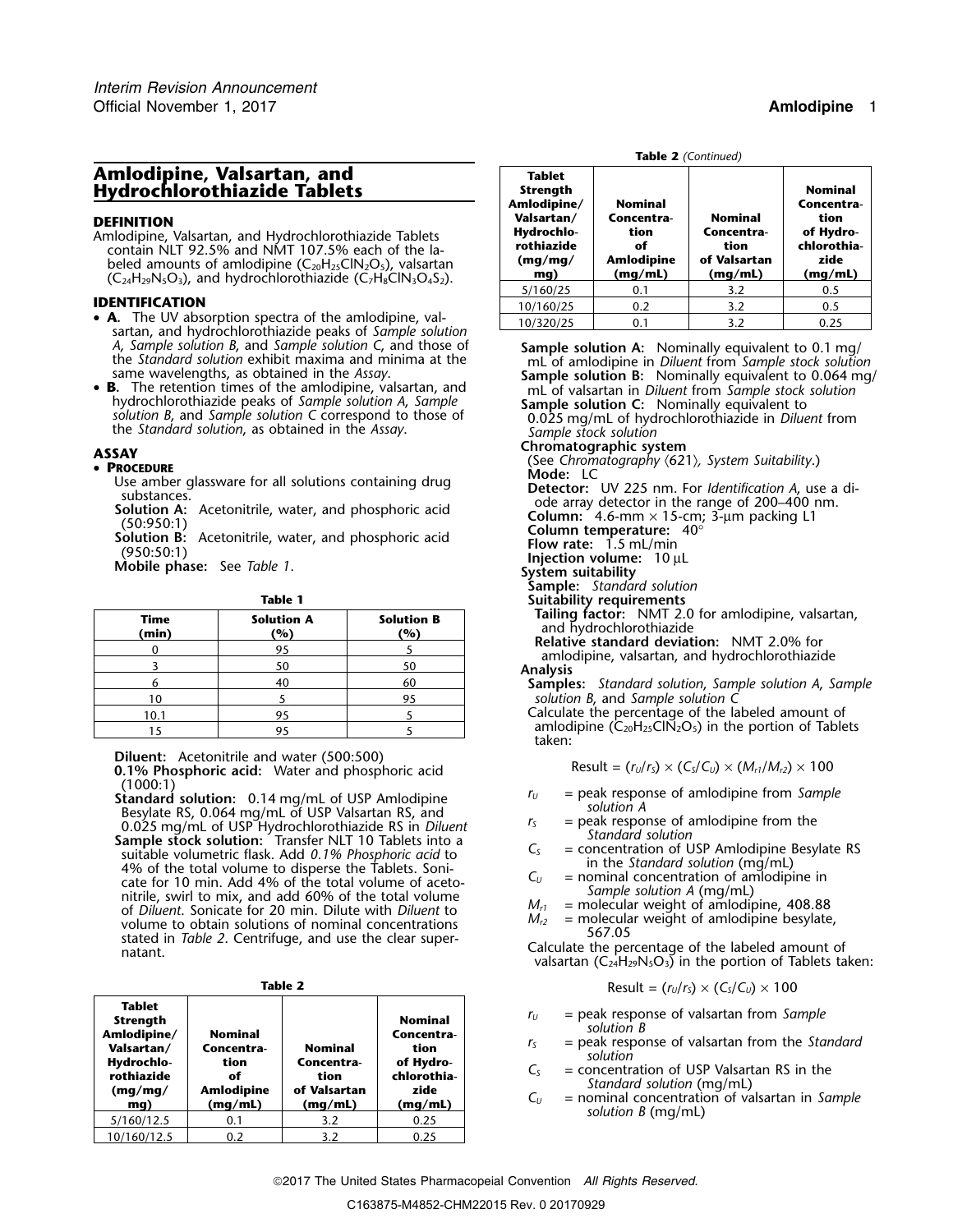### **Amlodipine, Valsartan, and Tablet Hydrochlorothiazide Tablets**

- **IDENTIFICATION** 10/160/25 0.2 3.2 0.5  **A.** The UV absorption spectra of the amlodipine, val-<br>
10/320/25 0.1 3.2 0.25 sartan, and hydrochlorothiazide peaks of *Sample solution*
- •**B.** The retention times of the amlodipine, valsartan, and  $\mu$  of valsartan in *Diluent* from *Sample stock solution* hydrochlorothiazide peaks of *Sample solution A, Sample* solution **Sample solution C**: Nominally equiv the *Standard solution*, as obtained in the *Assay*. *Sample stock solution*

- 
- 
- 

| <b>Time</b><br>(min) | <b>Solution A</b><br>$\frac{1}{2}$ | <b>Solution B</b><br>(%) |  |
|----------------------|------------------------------------|--------------------------|--|
|                      | 95                                 |                          |  |
|                      | 50                                 | 50                       |  |
|                      | 40                                 | 60                       |  |
| 10                   |                                    | 95                       |  |
| 10.1                 | 95                                 |                          |  |
|                      | 95                                 |                          |  |

(1000:1)<br>
Standard solution: 0.14 mg/mL of USP Amlodipine<br>
Besylate RS, 0.064 mg/mL of USP Valsartan RS, and<br>
0.025 mg/mL of USP Hydrochlorothiazide RS in *Diluent*<br>
Sample stock solution: Transfer NLT 10 Tablets into a<br>

| <b>Tablet</b><br>Strength<br>Amlodipine/<br>Valsartan/<br>Hydrochlo-<br>rothiazide<br>(mg/mg)<br>mg) | <b>Nominal</b><br>Concentra-<br>tion<br>of<br><b>Amlodipine</b><br>(mq/mL) | <b>Nominal</b><br>Concentra-<br>tion<br>of Valsartan<br>(mq/mL) | <b>Nominal</b><br>Concentra-<br>tion<br>of Hydro-<br>chlorothia-<br>zide<br>(mq/mL) | $=$ peak response of valsartan from Sample<br>$r_{U}$<br>solution B<br>$=$ peak response of valsartan from the Standard<br>r <sub>S</sub><br>solution<br>$=$ concentration of USP Valsartan RS in the<br>Standard solution (mg/mL)<br>$=$ nominal concentration of valsartan in Sample<br>$C_{U}$<br>solution $B$ (mg/mL) |
|------------------------------------------------------------------------------------------------------|----------------------------------------------------------------------------|-----------------------------------------------------------------|-------------------------------------------------------------------------------------|---------------------------------------------------------------------------------------------------------------------------------------------------------------------------------------------------------------------------------------------------------------------------------------------------------------------------|
| 5/160/12.5                                                                                           | 0.1                                                                        | 3.2                                                             | 0.25                                                                                |                                                                                                                                                                                                                                                                                                                           |
| 10/160/12.5                                                                                          | 0.2                                                                        | 3.2                                                             | 0.25                                                                                |                                                                                                                                                                                                                                                                                                                           |

**Table 2** *(Continued)*

| Amlodipine, Valsartan, and<br>Hydrochlorothiazide Tablets                                                                                                                                                                                                                | <b>Tablet</b><br>Strength<br>Amlodipine/                 | <b>Nominal</b>                                           |                                                                 | <b>Nominal</b><br>Concentra-<br>tion<br>of Hydro-<br>chlorothia-<br>zide<br>(mq/mL) |  |  |
|--------------------------------------------------------------------------------------------------------------------------------------------------------------------------------------------------------------------------------------------------------------------------|----------------------------------------------------------|----------------------------------------------------------|-----------------------------------------------------------------|-------------------------------------------------------------------------------------|--|--|
| DEFINITION<br>Amlodipine, Valsartan, and Hydrochlorothiazide Tablets<br>contain NLT 92.5% and NMT 107.5% each of the la-<br>beled amounts of amlodipine $(C_{20}H_{25}CIN_2O_5)$ , valsartan<br>$(C_{24}H_{29}N_5O_3)$ , and hydrochlorothiazide $(C_7H_8CIN_3O_4S_2)$ . | Valsartan/<br>Hydrochlo-<br>rothiazide<br>(mq/mq)<br>mg) | Concentra-<br>tion<br>of<br><b>Amlodipine</b><br>(mq/mL) | <b>Nominal</b><br>Concentra-<br>tion<br>of Valsartan<br>(mq/mL) |                                                                                     |  |  |
|                                                                                                                                                                                                                                                                          | 5/160/25                                                 | 0.1                                                      | 3.2                                                             | 0.5                                                                                 |  |  |
| IDENTIFICATION                                                                                                                                                                                                                                                           | 10/160/25                                                | 0.2                                                      | 3.2                                                             | 0.5                                                                                 |  |  |
| • A. The UV absorption spectra of the amlodipine, val-                                                                                                                                                                                                                   | 10/320/25                                                | 0.1                                                      | 3.2                                                             | 0.25                                                                                |  |  |

*A, Sample solution B, and Sample solution C, and those of*<br>
the *Standard solution exhibit maxima and minima at the*<br>
same wavelengths, as obtained in the *Assay*.<br> **B.** The retention times of the amlodipine, valsartan, a **Chromatographic system**<br> **• PROCEDURE** (See *Chromatography*  $\langle 621 \rangle$ *, System Suitability.*) • **Mode:** LC • **PROCEDURE**<br>
Use amber glassware for all solutions containing drug<br>
substances.<br>
Solution A: Acetonitrile, water, and phosphoric acid<br>
(50:950:1)<br>
Solution B: Acetonitrile, water, and phosphoric acid<br>
(950:50:1)<br>
Mobile **Sample:** *Standard solution* **Table 1**<br>**Solution B Solution R Tailing factor:** NMT 2.0 for amlodipine, valsartan, **Tailing factor:** NMT 2.0 for amlodipine, valsartan, **Time Solution A Solution B** and hydrochlorothiazide **(min) (%) (%) Relative standard deviation:** NMT 2.0% for <sup>0</sup> <sup>95</sup> <sup>5</sup> amlodipine, valsartan, and hydrochlorothiazide <sup>3</sup> <sup>50</sup> <sup>50</sup> **Analysis** <sup>6</sup> <sup>40</sup> <sup>60</sup> **Samples:** *Standard solution*, *Sample solution A*, *Sample* <sup>10</sup> <sup>5</sup> <sup>95</sup> *solution B*, and *Sample solution C* Calculate the percentage of the labeled amount of amlodipine  $(C_{20}H_{25}C\overline{N}_2O_5)$  in the portion of Tablets taken: **Diluent:** Acetonitrile and water (500:500)<br>**0.1% Phosphoric acid:** Water and phosphoric acid  $\mathbf{0.1\%}$  Result = ( $r_U/r_S$ ) × (C<sub>S</sub>/C<sub>U</sub>) × ( $M_{r1}/M_{r2}$ ) × 100<br>(1000:1)

- 
- 
- 
- 
- 

**Table 2 Table 2** 
$$
(r_U/r_S) \times (C_S/C_U) \times 100
$$

- $r_U$  = peak response of valsartan from *Sample*<br>  $r_S$  = peak response of valsartan from the *Standard*
- 
- 
- **mg) (mg/mL) (mg/mL) (mg/mL)** *<sup>C</sup><sup>U</sup>* = nominal concentration of valsartan in *Sample solution B* (mg/mL)

2017 The United States Pharmacopeial Convention *All Rights Reserved.*

C163875-M4852-CHM22015 Rev. 0 20170929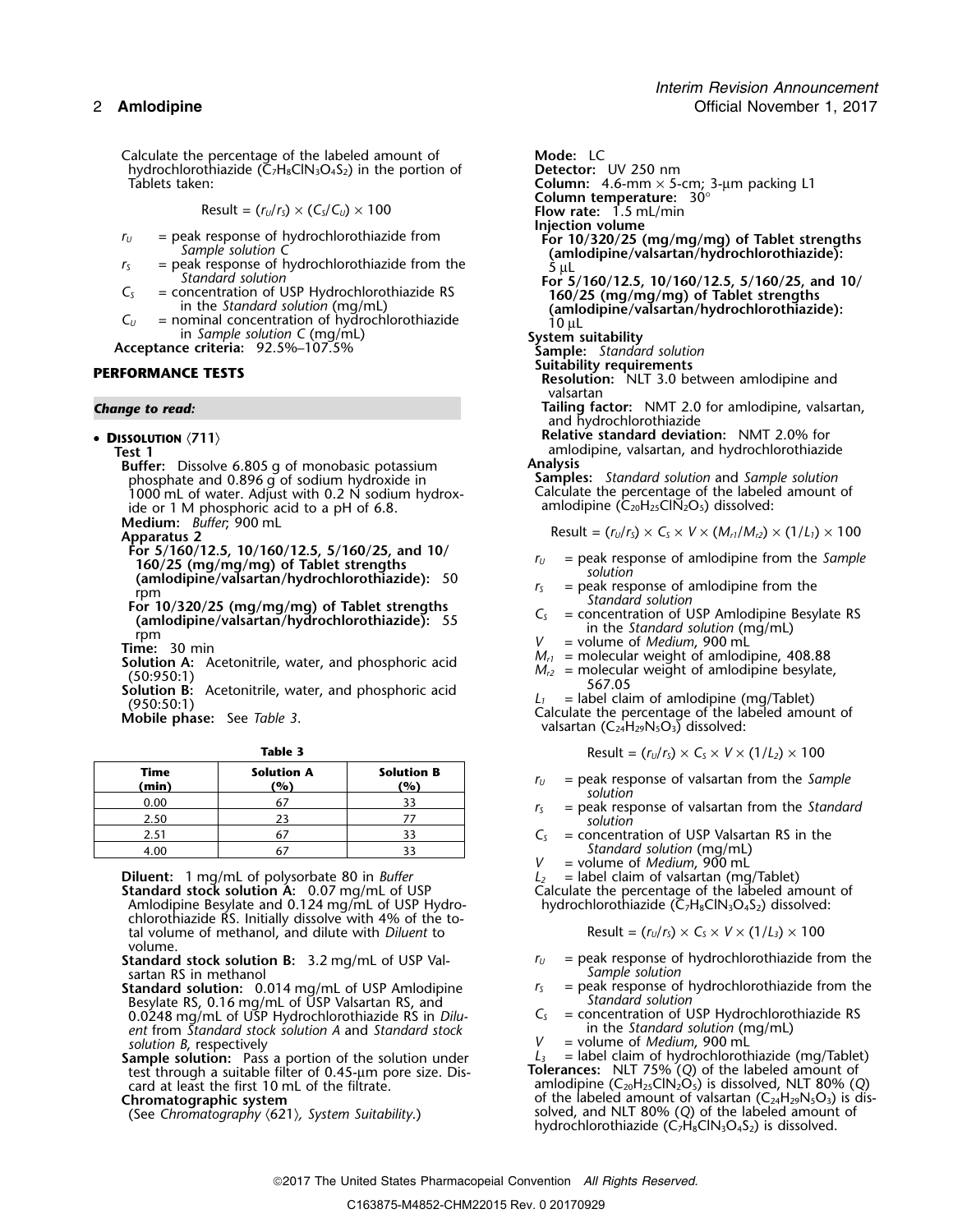Calculate the percentage of the labeled amount of **Mode:** LC<br>hydrochlorothiazide (C<sub>z</sub>H<sub>8</sub>ClN<sub>3</sub>O<sub>4</sub>S<sub>2</sub>) in the portion of **Detector:** UV 250 nm hydrochlorothiazide (Č<sub>7</sub>H<sub>8</sub>ClN<sub>3</sub>O<sub>4</sub>S<sub>2</sub>) in the portion of Tablets taken:

$$
Result = (r_U/r_S) \times (C_S/C_U) \times 100
$$

- 
- 
- 
- 
- 

•

**Buffer:** Dissolve 6.805 g of monobasic potassium<br>
phosphate and 0.896 g of sodium hydroxide in<br> **Samples:** Standard solution and Sample solution <sup>p</sup>hosphate and 0.896 g of sodium hydroxide in **Samples:** *Standard solution* and *Sample solution* 1000 mL of water. Adjust with 0.2 N sodium hydrox- Calculate the percentage of the labeled amount of the amount of the labeled amount of the amount of the amount of  $\epsilon$ . In the oriental amount of  $\epsilon$  a ide or 1 M phosphoric acid to a pH of 6.8.  $\overline{\phantom{a}}$  amlodipine (C20H2sClN2Os) dissolved: **Medium:** *Buffer*; 900 mL

- 
- 

| Time<br>(min) | <b>Solution A</b><br>(%) | <b>Solution B</b><br>(%) | $=$ peak resp<br>$r_{U}$  |
|---------------|--------------------------|--------------------------|---------------------------|
| 0.00          |                          |                          | solution<br>$=$ peak resp |
| 2.50          |                          |                          | solution                  |
| 2.51          |                          |                          | $=$ concentr              |
| 4.00          |                          |                          | Standar                   |

**Diluent:** 1 mg/mL of polysorbate 80 in *Buffer*  $L_2$  = label claim of valsartan (mg/Tablet)<br> **Standard stock solution A:** 0.07 mg/mL of USP Calculate the percentage of the labeled amount of<br>
Amlodipine Besylate and 0.12 chlorothiazide RS. Initially dissolve with 4% of the total volume of methanol, and dilute with *Diluent* to volume.

- sartan RS in methanol<br> **Sample solution** sample solution of USP Amlodipine  $r_5$  = peak response of hydrochlorothiazide from the
- **Standard solution:** 0.014 mg/mL of USP Amlodipine *r<sub>S</sub>* = peak response of h<br>Besylate RS, 0.16 mg/mL of USP Valsartan RS, and **the sylum of the sylum of the from the sylum the from the sylu** Besylate RS, 0.16 mg/mL of USP Valsartan RS, and *Standard solution* 0.0248 mg/mL of USP Hydrochlorothiazide RS in *Dilu- <sup>C</sup><sup>S</sup>* = concentration of USP Hydrochlorothiazide RS ent from *Standard stock* solution A and *Standard stock* in the *Standard solution* (mg/mL) from *Standard stock* solution (mg/mL)
- the statement of the solution of the solution of the statement of the statement of the statement of the statement of card at least the first 10 mL of the filtrate.<br>
Tolerances: NLT 75% (Q) of the labeled amount of card at card at least the first 10 mL of the filtrate. amlodipine (C20H25ClN2O5) is dissolved, NLT 80% (*Q*)

**Column:**  $4.6$ -mm  $\times$  5-cm; 3-µm packing L1 **Column temperature:**  $30^{\circ}$ **Column temperature:** 30° Result = (*<sup>r</sup>U*/*<sup>r</sup>S*) × (*CS*/*CU*) ×<sup>100</sup> **Flow rate:** 1.5 mL/min **Injection volume** *r*<sub>*U*</sub> = peak response of hydrochlorothiazide from **For 10/320/25 (mg/mg/mg) of Tablet strengths**<br> *Sample solution* C<br> *For 10/320/25 (mg/mg/mg) of Tablet strengths*<br> *For 10/320/25 (mg/mg/mg) of Tablet strengths*<br> *S*<sub></sub>  $r =$  peak response of hydrochlorothiazide from the  $r = \frac{5 \text{ }\mu\text{L}}{5 \text{ }\mu\text{L}}$  For 5/160/12.5, 10/160/12.5, 5/160/25, and 10/  $C_5$  = concentration of USP Hydrochlorothiazide RS<br>
in the *Standard solution* (mg/mL)<br>  $C_U$  = nominal concentration of hydrochlorothiazide<br>
in *Sample solution* C (mg/mL)<br>
in *Sample solution* C (mg/mL)<br>
System suitabil in *Sample solution C* (mg/mL) **System suitability Acceptance criteria:** 92.5%–107.5% **Sample:** *Standard solution* **PERFORMANCE TESTS**<br>Resolution: NLT 3.0 between amlodipine and valsartan *Change to read:* **Tailing factor:** NMT 2.0 for amlodipine, valsartan, and hydrochlorothiazide **DISSOLUTION**  $\langle 711 \rangle$ <br>**Relative standard deviation:** NMT 2.0% for<br>**ISSOLUTION**  $\langle 711 \rangle$ <br>**ISSOLUTION**  $\langle 711 \rangle$ **Test 1** amlodipine, valsartan, and hydrochlorothiazide Apparatus 2<br>Apparatus 2 For 5/160/12.5, 10/160/12.5, 5/160/25, and 10/<br>160/25 (mg/mg/mg) of Tablet strengths<br>(amlodipine/valsartan/hydrochlorothiazide): 50<br> $r_{U}$  = peak response of amlodipine from the<br>mm mm<br>
For 10/320/25 (mg/mg/mg) of Tablet strengths<br>
For 10/320/25 (mg/mg/mg) of Tablet strengths<br>
(amlodipine/valsartan/hydrochlorothiazide): 55<br>
Time: 30 min<br>
Solution A: Acetonitrile, water, and phosphoric acid<br>
Solution (950:50:1)<br> **Mobile phase:** See *Table 3*. values are calculate the percentage of the labeled amount of valsartan (C<sub>24</sub>H<sub>29</sub>N<sub>5</sub>O<sub>3</sub>) dissolved: **Table 3** Result =  $(r_U/r_S) \times C_S \times V \times (1/L_2) \times 100$  $r_U$  = peak response of valsartan from the *Sample solution* 0.00 <sup>67</sup> <sup>33</sup> *<sup>r</sup><sup>S</sup>* = peak response of valsartan from the *Standard*  $C<sub>S</sub>$  = concentration of USP Valsartan RS in the 4.00 <sup>67</sup> <sup>33</sup> *Standard solution* (mg/mL)

= volume of *Medium*, 900 mL<br>= label claim of valsartan (mg/Tablet)

$$
Result = (r_U/r_S) \times C_S \times V \times (1/L_3) \times 100
$$

- **Standard stock solution B:** 3.2 mg/mL of USP Val-<br>sartan RS in methanol *Sample solution*<br>*Sample solution* 
	-
	-
	-

*solution B*, respectively *Solution B*, respectively *V* = volume of *Medium*, 900 mL **Sample solution:** Pass a portion of the solution under  $L_3$  = label claim of hydrochlorothiazide (mg/Tablet) **Chromatographic system** of the labeled amount of valsartan (C<sub>24</sub>H<sub>29</sub>N<sub>5</sub>O<sub>3</sub>) is dis-Solved, and NLT 80% (*C<sub>2</sub>H<sub>29</sub>N<sub>3</sub>O<sub>3</sub>) is a chromatography (621)<i>, System Suitability*.) https://www.colved.and NLT 80% (*Q*) of the labeled amount of (See *Chromatography*  (621)*, System Suitability*.) https://www.co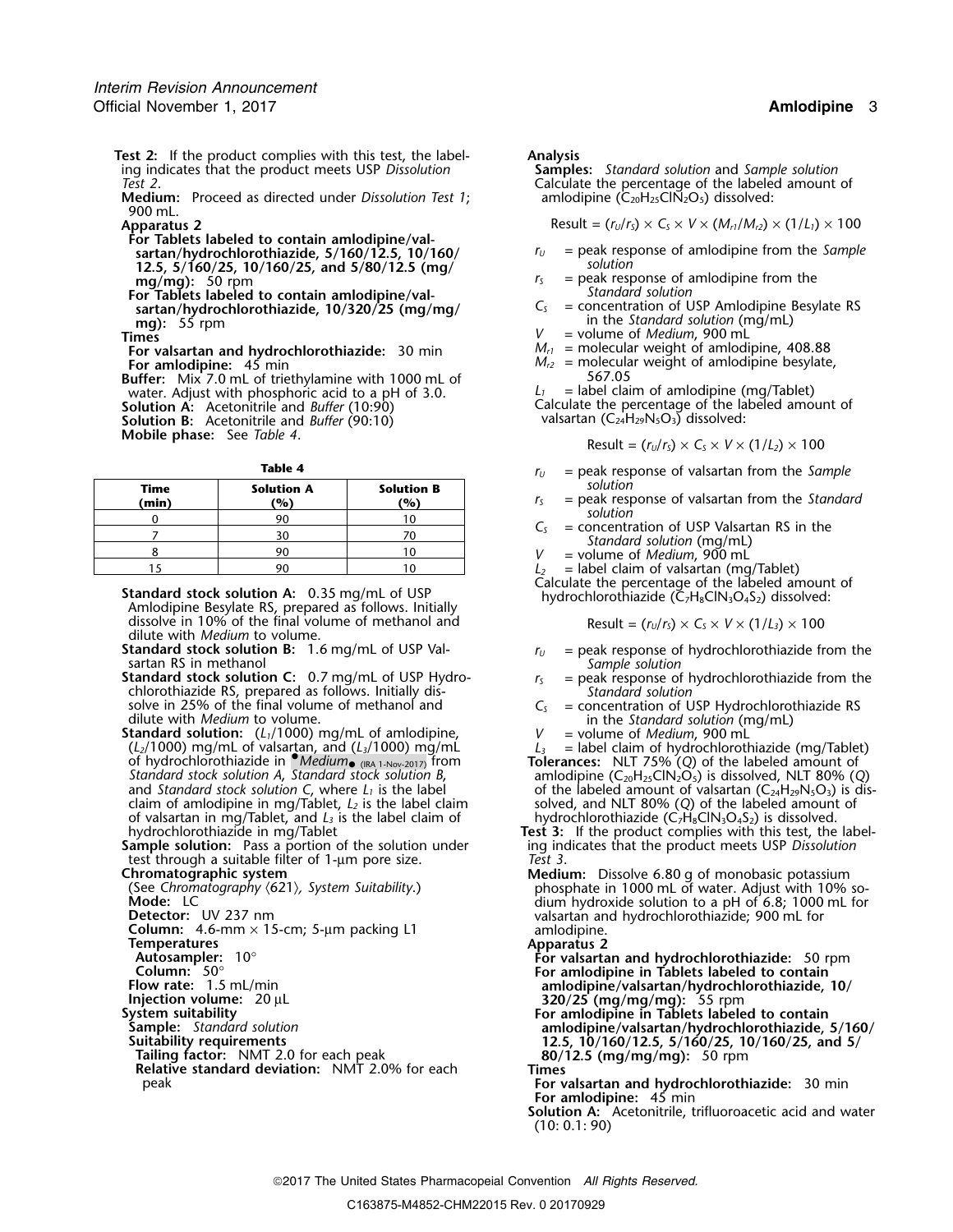# **Test 2:** If the product complies with this test, the label- **Analysis** ing indicates that the product meets USP *Dissolution* Test 2.

**Medium:** Proceed as directed under *Dissolution Test 1*; 900 mL.

**For Tablets labeled to contain amlodipine/val-12.5, 5/160/25, 10/160/25, and 5/80/12.5 (mg/** *solution*

**For Tablets labeled to contain amlodipine/val-**<br>**Standard solution** Standard Solution Standard Sesylate RS artan/hydrochlorothiazide. 10/320/25 (mg/mg/  $C_s$  = concentration of USP Amlodipine Besylate RS **sartan/hydrochlorothiazide, 10/320/25 (mg/mg/<br>mg): 55 rpm** mg): 55 rpm<br> **mg**): 55 rpm<br> **mg**): 55 rpm<br> **mg**): 55 rpm<br> **mg**): 55 rpm<br> **mg**): 55 rpm

**For valsartan and hydrochlorothiazide:** 30 min **For amlodipine:** 45 min

**Buffer:** Mix 7.0 mL of triethylamine with 1000 mL of  $\frac{567.05}{4}$  = label claim of amlodipine (mg/Tablet) water. Adjust with phosphoric acid to a pH of 3.0. **Solution A:** Acetonitrile and *Buffer* (10:90) **Solution B:** Acetonitrile and *Buffer* (90:10)

**Mobile phase:** See *Table 4.* 

| Time<br>(min) | <b>Solution A</b><br>(%) | <b>Solution B</b><br>(%) | solution<br>$=$ peak resp |
|---------------|--------------------------|--------------------------|---------------------------|
|               | 90                       |                          | solution                  |
|               | 30                       |                          | $=$ concentr<br>Standar   |
|               | 90                       |                          | $=$ volume $\alpha$       |
|               | 90                       |                          | = label clai              |

Calculate the percentage of the labeled amount of<br>Amlodipine Besylate RS, prepared as follows. Initially<br>Amlodipine Besylate RS, prepared as follows. Initially dissolve in 10% of the final volume of methanol and dilute with *Medium* to volume.

**Standard stock solution B:** 1.6 mg/mL of USP Val-<br>standard stock solution C: 0.7 mg/mL of USP Hydro-<br>**Standard stock solution C:** 0.7 mg/mL of USP Hydro-<br>chlorothiazide RS, prepared as follows. Initially dis-<br>solve in 25 solve in 25% of the final volume of methanol and<br>dilute with *Medium* to volume.<br>**Standard solution:** (L<sub>1</sub>/1000) mg/mL of amlodipine,<br>(L<sub>2</sub>/1000) mg/mL of valsartan, and (L<sub>3</sub>/1000) mg/mL<br>(L<sub>2</sub>/1000) mg/mL of valsartan,

(*L2*/1000) mg/mL of valsartan, and (*L3*/1000) mg/mL *<sup>L</sup><sup>3</sup>* = label claim of hydrochlorothiazide (mg/Tablet) of hydrochlorothiazide in •.*Medium*•*Standard stock solution A*, *Standard stock solution B*, amlodipine (C20H25ClN2O5) is dissolved, NLT 80% (*Q*) claim of amlodipine in mg/Tablet, *L2* is the label claim solved, and NLT 80% (*Q*) of the labeled amount of of valsartan in mg/Tablet, and *L3* is the label claim of hydrochlorothiazide (C7H8ClN3O4S2) is dissolved.

test through a suitable filter of 1-µm pore size. *Test 3*.

**Relative standard deviation:** NMT 2.0% for each **Times** peak **For valsartan and hydrochlorothiazide:** 30 min

Calculate the percentage of the labeled amount of amlodipine (C<sub>20</sub>H<sub>25</sub>ClN<sub>2</sub>O<sub>5</sub>) dissolved:

**Apparatus 2** Result =  $(r_U/r_S) \times C_S \times V \times (M_{r1}/M_{r2}) \times (1/L_1) \times 100$ 

- **sartan/hydrochlorothiazide, 5/160/12.5, 10/160/** *<sup>r</sup><sup>U</sup>* = peak response of amlodipine from the *Sample*
- **mg/mg):** 50 rpm<br> **mg/mg):** 50 rpm<br> **For Tablets labeled to contain amlodinine/val-**<br> **Standard solution** 
	-
	-
	- *V* = volume of *Medium*, 900 mL<br>*M*<sub>*r*1</sub> = molecular weight of amlodipine, 408.88
	- $M_{r2}$  = molecular weight of amlodipine besylate, 567.05

Calculate the percentage of the labeled amount of valsartan (C<sub>24</sub>H<sub>29</sub>N<sub>5</sub>O<sub>3</sub>) dissolved:

$$
Result = (rU/rS) \times CS \times V \times (1/L2) \times 100
$$

- **Table 4** *r* $r_U$  = peak response of valsartan from the *Sample*<br>**olution A Solution B** *solution* 
	- **(min) (%) (%)** *<sup>r</sup><sup>S</sup>* = peak response of valsartan from the *Standard*
	- *C<sub>S</sub>* = concentration of USP Valsartan RS in the *Standard solution* (mg/mL)  $V =$  volume of *Medium*, 900 mL
		-

 $L_2$  = label claim of valsartan (mg/Tablet)

Result = 
$$
(r_U/r_S) \times C_S \times V \times (1/L_3) \times 100
$$

- 
- 
- -
- Tolerances: NLT 75% (*Q*) of the labeled amount of<br>amlodipine (C<sub>20</sub>H<sub>25</sub>ClN<sub>2</sub>O<sub>5</sub>) is dissolved, NLT 80% (*Q*) and *Standard stock solution C*, where *L<sub>1</sub>* is the label of the labeled amount of valsartan (C<sub>24</sub>H<sub>29</sub>N<sub>5</sub>O<sub>3</sub>) is dis-<br>claim of amlodipine in mg/Tablet, *L<sub>2</sub>* is the label claim solved, and NLT 80% (Q) of the labeled
- hydrochlorothiazide in mg/Tablet **Test 3:** If the product complies with this test, the label- **Sample solution:** Pass a portion of the solution under ing indicates that the product meets USP *Dissolution*
- test through a suitable filter of 1-µm pore size.<br>
Chromatographic system<br>
(See Chromatography (621), System Suitability.)<br>
Medium: Dissolve 6.80 g of monobasic potassium<br>
mosphate in 1000 mL of water. Adjust with 10% so-<br> **Detector:** UV 237 nm valsartan and hydrochlorothiazide; 900 mL for<br> **Column:** 4.6-mm × 15-cm; 5-µm packing L1 amlodipine.<br> **Apparatus 2 Apparatus 2**

Autosampler: 10°<br>
Column: 50°<br>
Column: 50°<br>
Flow rate: 1.5 mL/min<br>
Flow rate: 1.5 mL/min<br>
Injection volume: 20 µL<br>
System suitability the suitable of the state of the suitable of the state of the suitable of the state of t

**For amlodipine:** 45 min

**Solution A:** Acetonitrile, trifluoroacetic acid and water (10: 0.1: 90)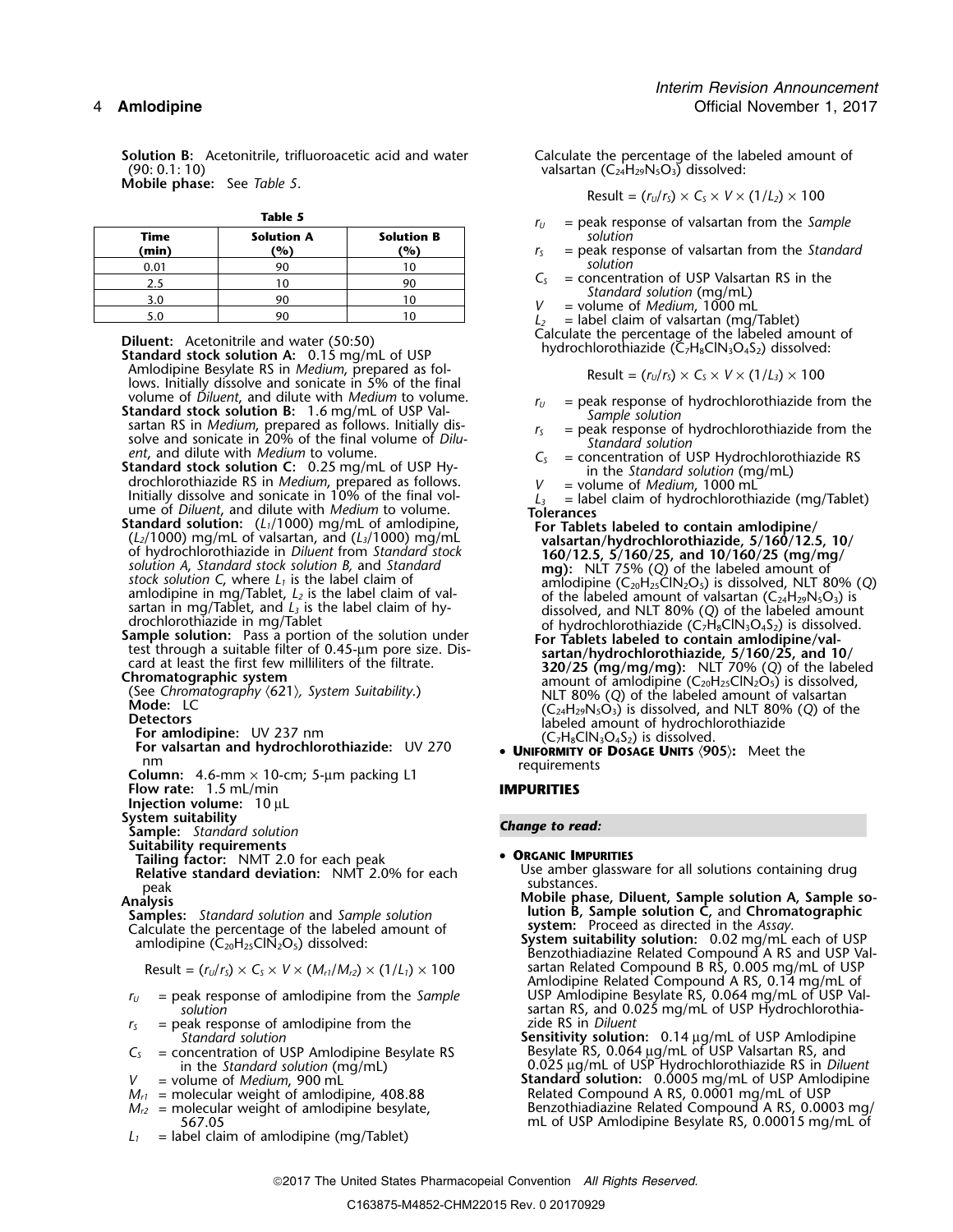**Solution B:** Acetonitrile, trifluoroacetic acid and water Calculate the percentage of the labeled amount of (90: 0.1: 10)<br>(90: 0.1: 10) valsartan (C<sub>24</sub>H<sub>29</sub>N<sub>5</sub>O<sub>3</sub>) dissolved: **Mobile phase:** See *Table 5.* 

| п |  |  |
|---|--|--|

|               |                                     |                          | $\frac{1}{2}$ | $=$ peak response or vaisarian from the sum                        |
|---------------|-------------------------------------|--------------------------|---------------|--------------------------------------------------------------------|
| Time<br>(min) | <b>Solution A</b><br>$\frac{10}{6}$ | <b>Solution B</b><br>(%) |               | solution<br>$=$ peak response of valsartan from the Star           |
| 0.01          |                                     |                          |               | solution                                                           |
| 2.5           |                                     | 90                       | $C_{S}$       | = concentration of USP Valsartan RS in the                         |
| 3.0           |                                     |                          |               | Standard solution (mg/mL)<br>= volume of <i>Medium</i> , $1000$ mL |
| 5.0           |                                     |                          |               | $=$ label claim of valsartan (mg/Tablet)                           |
|               |                                     |                          |               |                                                                    |

Calculate the percentage of the labeled amount of **Diluent:** Acetonitrile and water (50:50) **Calculate the percentage of the labeled amount of <b>Standard stock solution A:** 0.15 mg/mL of USP **Standard stock solution A:** 0.1 Amlodipine Besylate RS in *Medium*, prepared as fol-<br>lows. Initially dissolve and sonicate in 5% of the final<br>volume of *Diluent*, and dilute with *Medium* to volume. volume of *Diluent*, and dilute with *Medium* to volume.<br> **Standard stock solution B:** 1.6 mg/mL of USP Val-<br>
sartan RS in *Medium*, prepared as follows. Initially dis-<br>
solve and sonicate in 20% of the final volume of *D ent, and* dilute with *Medium* to volume.<br>
Standard stock solution C: 0.25 mg/mL of USP Hy-<br>
drochlorothiazide RS in Medium, prepared as follows.<br>
Initially dissolve and sonicate in 10% of the final vol-<br>
Initially disso nm<br>**Column:** 4.6-mm × 10-cm; 5-µm packing L1<br>**IMPURITIES Flow rate:** 1.5 mL/min **Flow rate:** 1.5 mL/min **Injection volume:** 10 µL<br>**System suitability System suitability** *Change to read:* **Sample:** *Standard solution* **Suitability requirements Tailing factor:** NMT 2.0 for each peak **• ORGANIC IMPURITIES Relative standard deviation:** NMT 2.0% for each peak **lution B, Sample solution C,** and **Chromatographic Samples:** *Standard solution* and *Sample solution* Samples: Standard solution and Sample solution<br>Calculate the percentage of the labeled amount of **system:** Proceed as directed in the *Assay.*<br>amlodipine (C<sub>20</sub>H<sub>25</sub>ClN<sub>2</sub>O<sub>5</sub>) dissolved: **System suitability solution:** 0.0

- $r<sub>S</sub>$  = peak response of amlodipine from the *Standard solution*
- 
- 
- 
- 
- $L_1$  = label claim of amlodipine (mg/Tablet)

valsartan  $(C_{24}H_{29}N_5O_3)$  dissolved:

$$
Result = (rU/rS) \times CS \times V \times (1/L2) \times 100
$$

- $r_U$  = peak response of valsartan from the *Sample*<br>*solution*
- $r<sub>S</sub>$  = peak response of valsartan from the *Standard* 
	-
- 

Result = 
$$
(r_U/r_s) \times C_s \times V \times (1/L_s) \times 100
$$

- 
- 
- 
- 

- 
- **UNIFORMITY OF DOSAGE UNITS** 〈**905**〉**:** Meet the

- Use amber glassware for all solutions containing drug substances.
- **Analysis Mobile phase, Diluent, Sample solution A, Sample so-**
- **System suitability solution:** 0.02 mg/mL each of USP<br>Benzothiadiazine Related Compound A RS and USP Val-<br>Benzothiadiazine Related Compound A RS and USP Val- $\text{Result} = (r_0/r_5) \times C_5 \times V \times (M_{r1}/M_{r2}) \times (1/L_1) \times 100$  sartan Related Compound B RS, 0.005 mg/mL of USP Amlodipine Related Compound A RS, 0.14 mg/mL of *r*<sub>*U*</sub> = peak response of amlodipine from the *Sample* USP Amlodipine Besylate RS, 0.064 mg/mL of USP Val-<br>sartan RS, and 0.025 mg/mL of USP Hydrochlorothiasartan RS, and 0.025 mg/mL of USP Hydrochlorothia-<br>zide RS in *Diluent*
- *Standard solution* **Sensitivity solution:** 0.14 µg/mL of USP Amlodipine *<sup>C</sup><sup>S</sup>* = concentration of USP Amlodipine Besylate RS Besylate RS, 0.064 <sup>µ</sup>g/mL of USP Valsartan RS, and in the *Standard solution* (mg/mL) 0.025 <sup>µ</sup>g/mL of USP Hydrochlorothiazide RS in *Diluent V* = volume of *Medium*, 900 mL **Standard solution:** 0.0005 mg/mL of USP Amlodipine *M*<sub>c1</sub> = molecular weight of amlodipine, 408.88 **Standard Solution:** 0.0001 mg/mL of USP  $M_{\rm r1}$  = molecular weight of amlodipine, 408.88  $\hphantom{M_{\rm r1}}\sim\hphantom{M_{\rm r1}}\,$  Related Compound A RS, 0.0001 mg/mL of USP  $M_{r2}$  = molecular weight of amlodipine besylate,  $B$ enzothiadiazine Related Compound A RS, 0.0003 mg/ 567.05 mL of USP Amlodipine Besylate RS, 0.00015 mg/mL of

2017 The United States Pharmacopeial Convention *All Rights Reserved.*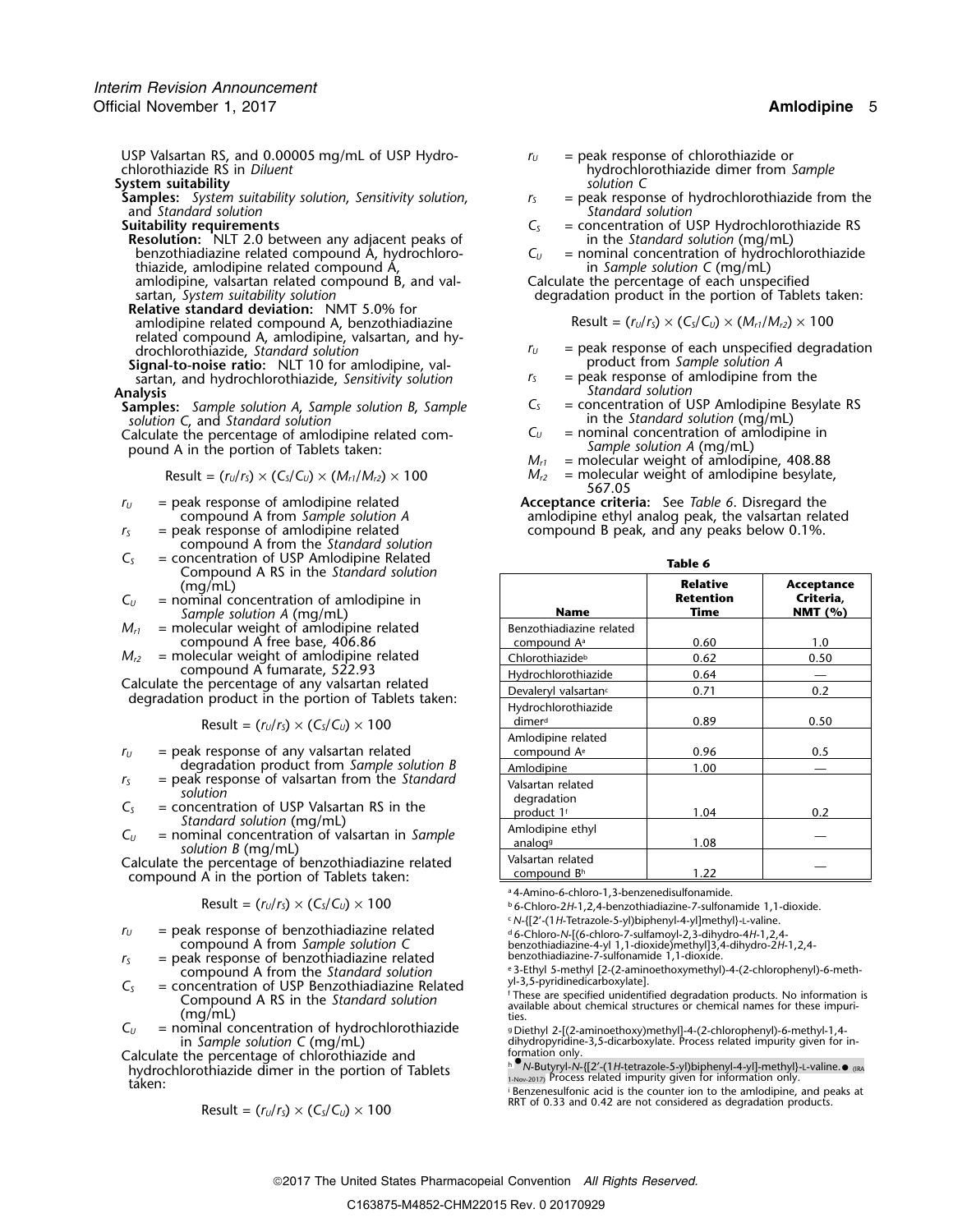USP Valsartan RS, and 0.00005 mg/mL of USP Hydro-  $I_U$  = peak response of chlorothiazide or chlorothiazide RS in *Diluent* hydrochlorothiazide dimer from *Sample*

**System suitability**<br>**Samples:** System suitability solution, Sensitivity solution,  $r_s$  = peak response of hydrochlorothiazide from the **Samples:** *System suitability solution, Sensitivity solution, r<sub>S</sub>* = peak response of hydrochlorothianal from the from the from the from the from the from the from the from the from the from the from the standard solut and *Standard solution Standard solution*

**Resolution:** NLT 2.0 between any adjacent peaks of in the *Standard solution* (mg/mL) benzothiadiazine related compound A, hydrochloro-  $C_U$  = nominal concentration of hydrochlorothiazide benzothiadiazine related compound A, hydrochloro-<br>thiazide, amlodipine related compound A,  $\frac{C_U}{V}$  = nominal concentration of hydrothiazide, amlodipine related compound A, thiazide, amlodipine related compound A, in *Sample solution C* (mg/mL) amlodipine, valsartan related compound B, and val-<br>Calculate the percentage of each unspecified amlodipine, valsartan related compound B, and val-<br>sartan, System suitability solution

**Relative standard deviation:** NMT 5.0% for  $am$ lodipine related compound A, benzothiadiazine

- related compound A, amlodipine, valsartan, and hy-<br>drochlorothiazide, Standard solution **Signal-to-noise ratio:** NLT 10 for amlodipine, val-<br>sartan, and hydrochlorothiazide. Sensitivity solution and a peak response of amlodipine from the
- sartan, and hydrochlorothiazide, *Sensitivity solution*<br>**Analysis**

**Samples:** *Sample solution A, Sample solution B, Sample solution C, and Standard solution* 

pound A in the portion of Tablets taken: *Sample solution A* (mg/mL)

$$
Result = (rU/rS) \times (CS/CU) \times (Mr1/Mr2) \times 100
$$

- 
- = peak response of amlodipine related<br>compound A from the *Standard solution*<br>= concentration of USP Amlodipine Related
- *C<sub>S</sub>* = concentration of USP Amlodipine Related **Table 6** Compound A RS in the *Standard solution* **Table 6** (mg/mL) **Relat**

 $C_U$  = nominal concentration of amlodipine in *Sample solution A* (mg/mL)

- $M_{r1}$  = molecular weight of amlodipine related compound  $\overline{A}$  free base, 406.86
- $M_{r2}$  = molecular weight of amlodipine related compound A fumarate, 522.93

Calculate the percentage of any valsartan related<br>degradation product in the portion of Tablets taken:

$$
Result = (r_U/r_S) \times (C_S/C_U) \times 100
$$

- $r_U$  = peak response of any valsartan related degradation product from *Sample solution B*
- *r*<sub>S</sub> = peak response of valsartan from the *Standard*<br> *C*<sub>S</sub> = concentration of USP Valsartan RS in the *Standard solution* (mg/mL)
- 
- $C_U$  = nominal concentration of valsartan in *Sample* solution *B* (mg/mL)

Calculate the percentage of benzothiadiazine related compound A in the portion of Tablets taken:

$$
Result = (r_U/r_S) \times (C_S/C_U) \times 100
$$

- $r_U$  = peak response of benzothiadiazine related<br>compound A from Sample solution C benzothiadiazine -4-yl 1,1-dioxide)methyl]3,4-dihydro-4H-1,2,4-
- $r<sub>S</sub>$  = peak response of benzothiadiazine related compound A from the *Standard solution*
- $C_5$  = concentration of USP Benzothiadiazine Related Compound A RS in the *Standard solution*
- $C_U$  = nominal concentration of hydrochlorothiazide  $C_U$  .  $D$ iethyl 2-[(2-aminoethoxy)methyl]-4-(2-chlorophenyl)-6-methyl-1,4-

in *Sample solution* C (mg/mL)<br>Calculate the percentage of chlorothiazide and<br>hydrochlorothiazide dimer in the portion of Tablets (IRC) hydrochlorothiazide dimer in the portion of Tablets 1-Nov-2017) Process related impurity given for information only.<br>taken:

$$
Result = (r_U/r_S) \times (C_S/C_U) \times 100
$$

- 
- 
- **Suitability requirements**<br>**Resolution:** NLT 2.0 between any adjacent peaks of *C<sub>S</sub>* = concentration of USP Hydrochlorothiazide RS<br>**Resolution:** NLT 2.0 between any adjacent peaks of *C<sub>S</sub>* = concentration of USP Hydr
	-

degradation product in the portion of Tablets taken:

$$
Result = (rU/rS) \times (CS/CU) \times (Mr1/Mr2) \times 100
$$

- $r_U$  = peak response of each unspecified degradation product from Sample solution A
- 
- **Analysis 3**<br>*C<sub>S</sub>* = concentration of USP Amlodipine Besylate RS
- in the *Standard solution* (mg/mL)<br> $C_U$  = nominal concentration of amlodipine in Calculate the percentage of amlodipine related com- $C_U$  = nominal concentration of amlodipine in
	- $M_{r1}$  = molecular weight of amlodipine, 408.88
	- $M_{r2}$  = molecular weight of amlodipine besylate, 567.05

*r*<sub>*U*</sub> = peak response of amlodipine related **Acceptance criteria:** See *Table 6*. Disregard the compound A from *Sample solution A* amlodipine ethyl analog peak, the valsartan rela compound A from *Sample solution A* amlodipine ethyl analog peak, the valsartan related  $r_{\rm s}$   $\phantom{r_{\rm s}}$  = peak response of amlodipine related  $\phantom{r_{\rm s}}$   $\phantom{r_{\rm s}}$  compound B peak, and any peaks below 0.1%.

| Compound A RS in the S <i>tandard solution</i>                                                     |                                                            |                                             |                                       |
|----------------------------------------------------------------------------------------------------|------------------------------------------------------------|---------------------------------------------|---------------------------------------|
| (mg/mL)<br>ominal concentration of amlodipine in<br>Sample solution A (mg/mL)                      | <b>Name</b>                                                | <b>Relative</b><br>Retention<br><b>Time</b> | Acceptance<br>Criteria,<br>NMT $(% )$ |
| olecular weight of amlodipine related<br>compound A free base, 406.86                              | Benzothiadiazine related<br>compound A <sup>a</sup>        | 0.60                                        | 1.0                                   |
| olecular weight of amlodipine related                                                              | Chlorothiazide <sup>b</sup>                                | 0.62                                        | 0.50                                  |
| compound A fumarate, 522.93                                                                        | Hydrochlorothiazide                                        | 0.64                                        |                                       |
| the percentage of any valsartan related                                                            | Devaleryl valsartan <sup>c</sup>                           | 0.71                                        | 0.2                                   |
| tion product in the portion of Tablets taken:<br>Result = $(r_U/r_s) \times (C_s/C_u) \times 100$  | Hydrochlorothiazide<br>dimerd                              | 0.89                                        | 0.50                                  |
| eak response of any valsartan related                                                              | Amlodipine related<br>compound A <sup>e</sup>              | 0.96                                        | 0.5                                   |
| degradation product from Sample solution B                                                         | Amlodipine                                                 | 1.00                                        |                                       |
| eak response of valsartan from the Standard<br>solution<br>oncentration of USP Valsartan RS in the | Valsartan related<br>degradation<br>product 1 <sup>f</sup> | 1.04                                        | 0.2                                   |
| Standard solution (mg/mL)<br>ominal concentration of valsartan in Sample<br>solution B (mg/mL)     | Amlodipine ethyl<br>analogg                                | 1.08                                        |                                       |
| the percentage of benzothiadiazine related<br>nd A in the nortion of Tahlets taken:                | Valsartan related<br>compound Bh                           | 1.22                                        |                                       |

<sup>a</sup> 4-Amino-6-chloro-1,3-benzenedisulfonamide.

c .*N*-{[2'-(1*H*-Tetrazole-5-yl)biphenyl-4-yl]methyl}-L-valine.

<sup>e</sup> 3-Ethyl *5-methyl [2-(2-aminoethoxymethyl)-4-(2-chlorophenyl)-6-meth-<br>yl-3,5-pyridinedicarboxylate].* 

Example 1 Concentration of USP Benzothiadiazine Related<br>
Compound A RS in the *Standard solution*<br>
(mg/mL) ties.<br>
= nominal concentration of hydrochlorothiazide<br>
= nominal concentration of hydrochlorothiazide<br>
= nominal co

in *Sample solution C* (mg/mL) dihydropyridine-3,5-dicarboxylate. Process related impurity given for in-

h . •.*N*-Butyryl-*N*-{[2′-(1*H*-tetrazole-5-yl)biphenyl-4-yl]-methyl}-L-valine.•

. Benzenesulfonic acid is the counter ion to the amlodipine, and peaks at RRT of 0.33 and 0.42 are not considered as degradation products.

<sup>&</sup>lt;sup>b</sup> 6-Chloro-2H-1,2,4-benzothiadiazine-7-sulfonamide 1,1-dioxide.